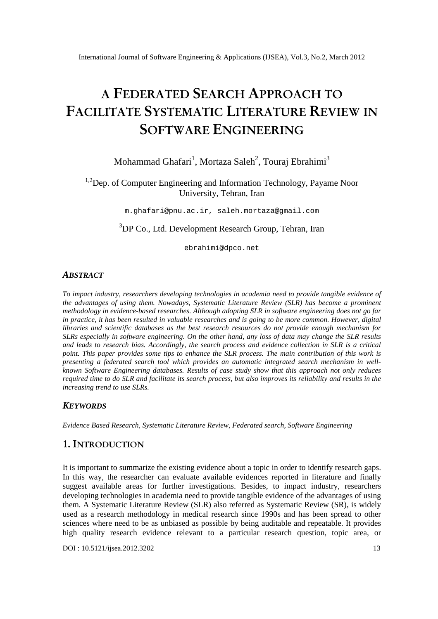# **A FEDERATED SEARCH APPROACH TO FACILITATE SYSTEMATIC LITERATURE REVIEW IN SOFTWARE ENGINEERING**

# Mohammad Ghafari $^1$ , Mortaza Saleh $^2$ , Touraj Ebrahimi $^3$

<sup>1,2</sup>Dep. of Computer Engineering and Information Technology, Payame Noor University, Tehran, Iran

m.ghafari@pnu.ac.ir, saleh.mortaza@gmail.com

<sup>3</sup>DP Co., Ltd. Development Research Group, Tehran, Iran

ebrahimi@dpco.net

#### *ABSTRACT*

*To impact industry, researchers developing technologies in academia need to provide tangible evidence of the advantages of using them. Nowadays, Systematic Literature Review (SLR) has become a prominent methodology in evidence-based researches. Although adopting SLR in software engineering does not go far in practice, it has been resulted in valuable researches and is going to be more common. However, digital libraries and scientific databases as the best research resources do not provide enough mechanism for SLRs especially in software engineering. On the other hand, any loss of data may change the SLR results and leads to research bias. Accordingly, the search process and evidence collection in SLR is a critical point. This paper provides some tips to enhance the SLR process. The main contribution of this work is presenting a federated search tool which provides an automatic integrated search mechanism in wellknown Software Engineering databases. Results of case study show that this approach not only reduces required time to do SLR and facilitate its search process, but also improves its reliability and results in the increasing trend to use SLRs.* 

#### *KEYWORDS*

*Evidence Based Research, Systematic Literature Review, Federated search, Software Engineering* 

## **1. INTRODUCTION**

It is important to summarize the existing evidence about a topic in order to identify research gaps. In this way, the researcher can evaluate available evidences reported in literature and finally suggest available areas for further investigations. Besides, to impact industry, researchers developing technologies in academia need to provide tangible evidence of the advantages of using them. A Systematic Literature Review (SLR) also referred as Systematic Review (SR), is widely used as a research methodology in medical research since 1990s and has been spread to other sciences where need to be as unbiased as possible by being auditable and repeatable. It provides high quality research evidence relevant to a particular research question, topic area, or

DOI : 10.5121/ijsea.2012.3202 13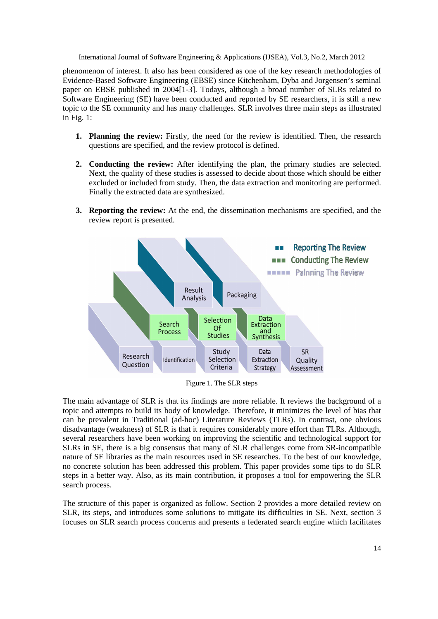phenomenon of interest. It also has been considered as one of the key research methodologies of Evidence-Based Software Engineering (EBSE) since Kitchenham, Dyba and Jorgensen's seminal paper on EBSE published in 2004[1-3]. Todays, although a broad number of SLRs related to Software Engineering (SE) have been conducted and reported by SE researchers, it is still a new topic to the SE community and has many challenges. SLR involves three main steps as illustrated in Fig. 1:

- **1. Planning the review:** Firstly, the need for the review is identified. Then, the research questions are specified, and the review protocol is defined.
- **2. Conducting the review:** After identifying the plan, the primary studies are selected. Next, the quality of these studies is assessed to decide about those which should be either excluded or included from study. Then, the data extraction and monitoring are performed. Finally the extracted data are synthesized.
- **3. Reporting the review:** At the end, the dissemination mechanisms are specified, and the review report is presented.



Figure 1. The SLR steps

The main advantage of SLR is that its findings are more reliable. It reviews the background of a topic and attempts to build its body of knowledge. Therefore, it minimizes the level of bias that can be prevalent in Traditional (ad-hoc) Literature Reviews (TLRs). In contrast, one obvious disadvantage (weakness) of SLR is that it requires considerably more effort than TLRs. Although, several researchers have been working on improving the scientific and technological support for SLRs in SE, there is a big consensus that many of SLR challenges come from SR-incompatible nature of SE libraries as the main resources used in SE researches. To the best of our knowledge, no concrete solution has been addressed this problem. This paper provides some tips to do SLR steps in a better way. Also, as its main contribution, it proposes a tool for empowering the SLR search process.

The structure of this paper is organized as follow. Section 2 provides a more detailed review on SLR, its steps, and introduces some solutions to mitigate its difficulties in SE. Next, section 3 focuses on SLR search process concerns and presents a federated search engine which facilitates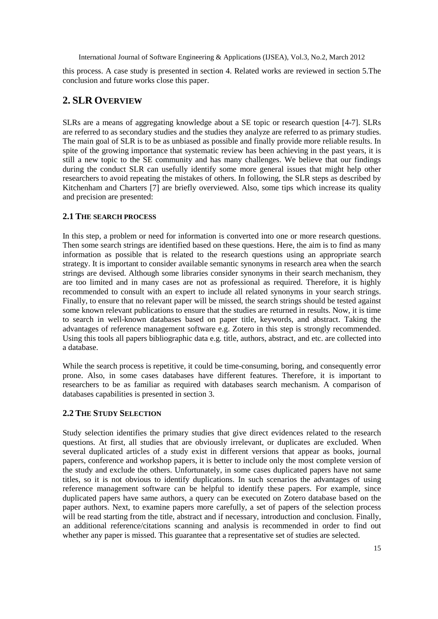this process. A case study is presented in section 4. Related works are reviewed in section 5.The conclusion and future works close this paper.

## **2. SLR OVERVIEW**

SLRs are a means of aggregating knowledge about a SE topic or research question [4-7]. SLRs are referred to as secondary studies and the studies they analyze are referred to as primary studies. The main goal of SLR is to be as unbiased as possible and finally provide more reliable results. In spite of the growing importance that systematic review has been achieving in the past years, it is still a new topic to the SE community and has many challenges. We believe that our findings during the conduct SLR can usefully identify some more general issues that might help other researchers to avoid repeating the mistakes of others. In following, the SLR steps as described by Kitchenham and Charters [7] are briefly overviewed. Also, some tips which increase its quality and precision are presented:

#### **2.1 THE SEARCH PROCESS**

In this step, a problem or need for information is converted into one or more research questions. Then some search strings are identified based on these questions. Here, the aim is to find as many information as possible that is related to the research questions using an appropriate search strategy. It is important to consider available semantic synonyms in research area when the search strings are devised. Although some libraries consider synonyms in their search mechanism, they are too limited and in many cases are not as professional as required. Therefore, it is highly recommended to consult with an expert to include all related synonyms in your search strings. Finally, to ensure that no relevant paper will be missed, the search strings should be tested against some known relevant publications to ensure that the studies are returned in results. Now, it is time to search in well-known databases based on paper title, keywords, and abstract. Taking the advantages of reference management software e.g. Zotero in this step is strongly recommended. Using this tools all papers bibliographic data e.g. title, authors, abstract, and etc. are collected into a database.

While the search process is repetitive, it could be time-consuming, boring, and consequently error prone. Also, in some cases databases have different features. Therefore, it is important to researchers to be as familiar as required with databases search mechanism. A comparison of databases capabilities is presented in section 3.

#### **2.2 THE STUDY SELECTION**

Study selection identifies the primary studies that give direct evidences related to the research questions. At first, all studies that are obviously irrelevant, or duplicates are excluded. When several duplicated articles of a study exist in different versions that appear as books, journal papers, conference and workshop papers, it is better to include only the most complete version of the study and exclude the others. Unfortunately, in some cases duplicated papers have not same titles, so it is not obvious to identify duplications. In such scenarios the advantages of using reference management software can be helpful to identify these papers. For example, since duplicated papers have same authors, a query can be executed on Zotero database based on the paper authors. Next, to examine papers more carefully, a set of papers of the selection process will be read starting from the title, abstract and if necessary, introduction and conclusion. Finally, an additional reference/citations scanning and analysis is recommended in order to find out whether any paper is missed. This guarantee that a representative set of studies are selected.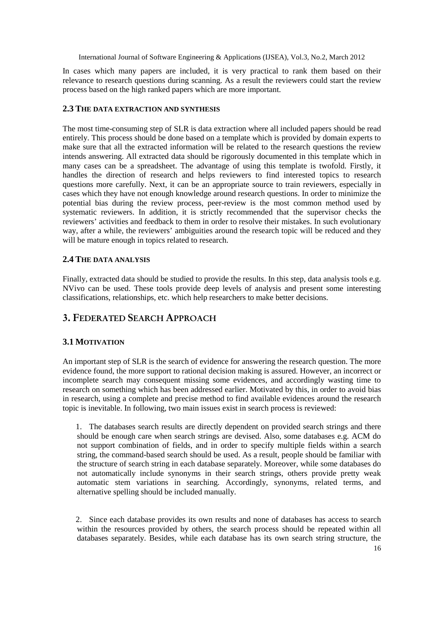In cases which many papers are included, it is very practical to rank them based on their relevance to research questions during scanning. As a result the reviewers could start the review process based on the high ranked papers which are more important.

#### **2.3 THE DATA EXTRACTION AND SYNTHESIS**

The most time-consuming step of SLR is data extraction where all included papers should be read entirely. This process should be done based on a template which is provided by domain experts to make sure that all the extracted information will be related to the research questions the review intends answering. All extracted data should be rigorously documented in this template which in many cases can be a spreadsheet. The advantage of using this template is twofold. Firstly, it handles the direction of research and helps reviewers to find interested topics to research questions more carefully. Next, it can be an appropriate source to train reviewers, especially in cases which they have not enough knowledge around research questions. In order to minimize the potential bias during the review process, peer-review is the most common method used by systematic reviewers. In addition, it is strictly recommended that the supervisor checks the reviewers' activities and feedback to them in order to resolve their mistakes. In such evolutionary way, after a while, the reviewers' ambiguities around the research topic will be reduced and they will be mature enough in topics related to research.

#### **2.4 THE DATA ANALYSIS**

Finally, extracted data should be studied to provide the results. In this step, data analysis tools e.g. NVivo can be used. These tools provide deep levels of analysis and present some interesting classifications, relationships, etc. which help researchers to make better decisions.

# **3. FEDERATED SEARCH APPROACH**

## **3.1 MOTIVATION**

An important step of SLR is the search of evidence for answering the research question. The more evidence found, the more support to rational decision making is assured. However, an incorrect or incomplete search may consequent missing some evidences, and accordingly wasting time to research on something which has been addressed earlier. Motivated by this, in order to avoid bias in research, using a complete and precise method to find available evidences around the research topic is inevitable. In following, two main issues exist in search process is reviewed:

1. The databases search results are directly dependent on provided search strings and there should be enough care when search strings are devised. Also, some databases e.g. ACM do not support combination of fields, and in order to specify multiple fields within a search string, the command-based search should be used. As a result, people should be familiar with the structure of search string in each database separately. Moreover, while some databases do not automatically include synonyms in their search strings, others provide pretty weak automatic stem variations in searching. Accordingly, synonyms, related terms, and alternative spelling should be included manually.

2. Since each database provides its own results and none of databases has access to search within the resources provided by others, the search process should be repeated within all databases separately. Besides, while each database has its own search string structure, the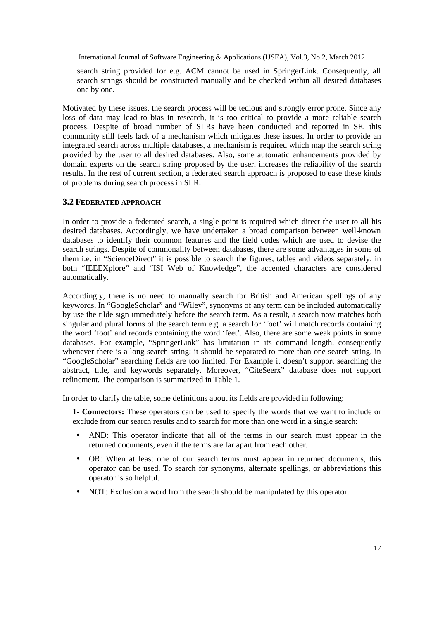search string provided for e.g. ACM cannot be used in SpringerLink. Consequently, all search strings should be constructed manually and be checked within all desired databases one by one.

Motivated by these issues, the search process will be tedious and strongly error prone. Since any loss of data may lead to bias in research, it is too critical to provide a more reliable search process. Despite of broad number of SLRs have been conducted and reported in SE, this community still feels lack of a mechanism which mitigates these issues. In order to provide an integrated search across multiple databases, a mechanism is required which map the search string provided by the user to all desired databases. Also, some automatic enhancements provided by domain experts on the search string proposed by the user, increases the reliability of the search results. In the rest of current section, a federated search approach is proposed to ease these kinds of problems during search process in SLR.

#### **3.2 FEDERATED APPROACH**

In order to provide a federated search, a single point is required which direct the user to all his desired databases. Accordingly, we have undertaken a broad comparison between well-known databases to identify their common features and the field codes which are used to devise the search strings. Despite of commonality between databases, there are some advantages in some of them i.e. in "ScienceDirect" it is possible to search the figures, tables and videos separately, in both "IEEEXplore" and "ISI Web of Knowledge", the accented characters are considered automatically.

Accordingly, there is no need to manually search for British and American spellings of any keywords, In "GoogleScholar" and "Wiley", synonyms of any term can be included automatically by use the tilde sign immediately before the search term. As a result, a search now matches both singular and plural forms of the search term e.g. a search for 'foot' will match records containing the word 'foot' and records containing the word 'feet'. Also, there are some weak points in some databases. For example, "SpringerLink" has limitation in its command length, consequently whenever there is a long search string; it should be separated to more than one search string, in "GoogleScholar" searching fields are too limited. For Example it doesn't support searching the abstract, title, and keywords separately. Moreover, "CiteSeerx" database does not support refinement. The comparison is summarized in Table 1.

In order to clarify the table, some definitions about its fields are provided in following:

**1- Connectors:** These operators can be used to specify the words that we want to include or exclude from our search results and to search for more than one word in a single search:

- AND: This operator indicate that all of the terms in our search must appear in the returned documents, even if the terms are far apart from each other.
- OR: When at least one of our search terms must appear in returned documents, this operator can be used. To search for synonyms, alternate spellings, or abbreviations this operator is so helpful.
- NOT: Exclusion a word from the search should be manipulated by this operator.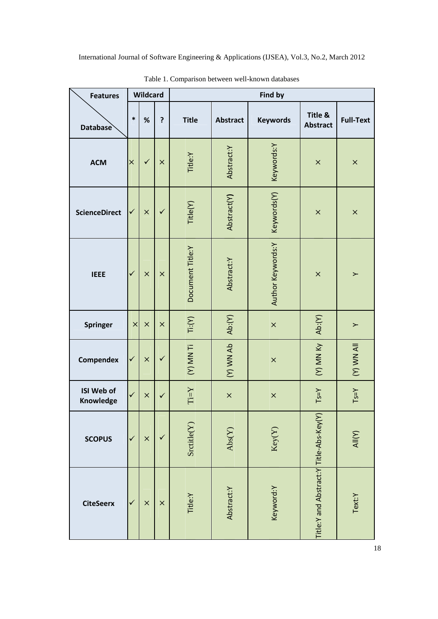| <b>Features</b>         | Wildcard     |              |              | <b>Find by</b>                                                           |                            |                   |                                       |                  |
|-------------------------|--------------|--------------|--------------|--------------------------------------------------------------------------|----------------------------|-------------------|---------------------------------------|------------------|
| <b>Database</b>         | $\ast$       | $\%$         | ?            | <b>Title</b>                                                             | <b>Abstract</b>            | <b>Keywords</b>   | Title &<br><b>Abstract</b>            | <b>Full-Text</b> |
| <b>ACM</b>              | $\times$     | $\checkmark$ | $\times$     | Title:Y                                                                  | Abstract:Y                 | Keywords:Y        | $\times$                              | $\times$         |
| <b>ScienceDirect</b>    | ✓            | $\times$     | $\checkmark$ | Title(Y)                                                                 | Abstract(Y)                | Keywords(Y)       | $\times$                              | $\times$         |
| <b>IEEE</b>             | $\checkmark$ | $\times$     | $\times$     | Document Title:Y                                                         | Abstract:Y                 | Author Keywords:Y | $\times$                              | $\succ$          |
| <b>Springer</b>         | $\times$     | $\times$     | $\times$     | Ti:(V)                                                                   | Ab:(V)                     | $\pmb{\times}$    | Ab:(Y)                                | $\succ$          |
| Compendex               | ✓            | $\times$     | $\checkmark$ | (Y) MN Ti                                                                | (Y) WN Ab                  | $\times$          | (Y) MN KY                             | IIA MW (Y)       |
| ISI Web of<br>Knowledge | $\checkmark$ | $\times$     | $\checkmark$ | $\mathop{\rm Ti}\nolimits\mathop{\rm =}\nolimits\mathop{\rm Y}\nolimits$ | $\times$                   | $\times$          | $Ts=Y$                                | $Ts=Y$           |
| <b>SCOPUS</b>           | $\checkmark$ | $\times$     | $\checkmark$ | Srcitle(Y)                                                               | $\mathrm{Abs}(\mathrm{Y})$ | Key(Y)            | $\sum$                                | All(Y)           |
| <b>CiteSeerx</b>        | $\checkmark$ | $\times$     | $\times$     | Title:Y                                                                  | Abstract:Y                 | Keyword:Y         | Title:Y and Abstract:Y Title-Abs-Key( | Text:Y           |

Table 1. Comparison between well-known databases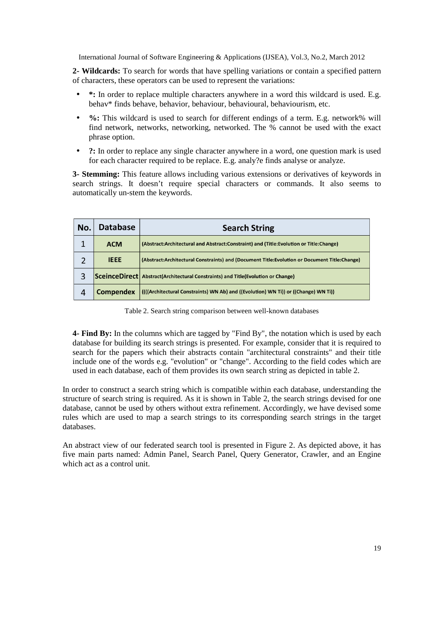**2- Wildcards:** To search for words that have spelling variations or contain a specified pattern of characters, these operators can be used to represent the variations:

- **\*:** In order to replace multiple characters anywhere in a word this wildcard is used. E.g. behav\* finds behave, behavior, behaviour, behavioural, behaviourism, etc.
- %: This wildcard is used to search for different endings of a term. E.g. network% will find network, networks, networking, networked. The % cannot be used with the exact phrase option.
- **?:** In order to replace any single character anywhere in a word, one question mark is used for each character required to be replace. E.g. analy?e finds analyse or analyze.

**3- Stemming:** This feature allows including various extensions or derivatives of keywords in search strings. It doesn't require special characters or commands. It also seems to automatically un-stem the keywords.

| No. | <b>Database</b>  | <b>Search String</b>                                                                         |  |  |  |  |
|-----|------------------|----------------------------------------------------------------------------------------------|--|--|--|--|
|     | <b>ACM</b>       | (Abstract:Architectural and Abstract:Constraint) and (Title:Evolution or Title:Change)       |  |  |  |  |
|     | <b>IEEE</b>      | (Abstract:Architectural Constraints) and (Document Title:Evolution or Document Title:Change) |  |  |  |  |
| 3   |                  | <b>SceinceDirect</b> Abstract (Architectural Constraints) and Title (Evolution or Change)    |  |  |  |  |
| 4   | <b>Compendex</b> | (((Architectural Constraints) WN Ab) and ((Evolution) WN Ti)) or ((Change) WN Ti))           |  |  |  |  |

Table 2. Search string comparison between well-known databases

**4- Find By:** In the columns which are tagged by "Find By", the notation which is used by each database for building its search strings is presented. For example, consider that it is required to search for the papers which their abstracts contain "architectural constraints" and their title include one of the words e.g. "evolution" or "change". According to the field codes which are used in each database, each of them provides its own search string as depicted in table 2.

In order to construct a search string which is compatible within each database, understanding the structure of search string is required. As it is shown in Table 2, the search strings devised for one database, cannot be used by others without extra refinement. Accordingly, we have devised some rules which are used to map a search strings to its corresponding search strings in the target databases.

An abstract view of our federated search tool is presented in Figure 2. As depicted above, it has five main parts named: Admin Panel, Search Panel, Query Generator, Crawler, and an Engine which act as a control unit.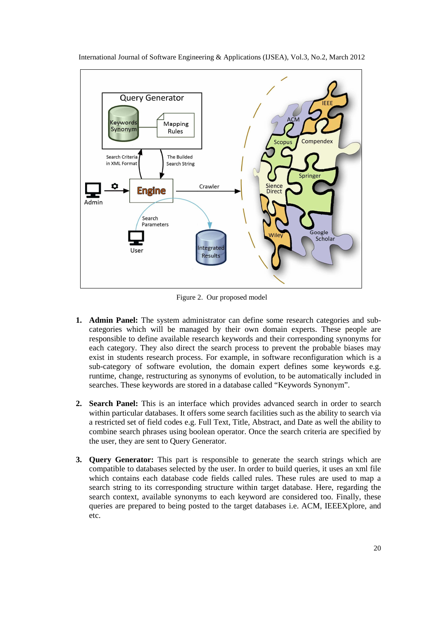

International Journal of Software Engineering & Applications (IJSEA), Vol.3, No.2, March 2012

Figure 2. Our proposed model

- **1. Admin Panel:** The system administrator can define some research categories and subcategories which will be managed by their own domain experts. These people are responsible to define available research keywords and their corresponding synonyms for each category. They also direct the search process to prevent the probable biases may exist in students research process. For example, in software reconfiguration which is a sub-category of software evolution, the domain expert defines some keywords e.g. runtime, change, restructuring as synonyms of evolution, to be automatically included in searches. These keywords are stored in a database called "Keywords Synonym".
- **2. Search Panel:** This is an interface which provides advanced search in order to search within particular databases. It offers some search facilities such as the ability to search via a restricted set of field codes e.g. Full Text, Title, Abstract, and Date as well the ability to combine search phrases using boolean operator. Once the search criteria are specified by the user, they are sent to Query Generator.
- **3. Query Generator:** This part is responsible to generate the search strings which are compatible to databases selected by the user. In order to build queries, it uses an xml file which contains each database code fields called rules. These rules are used to map a search string to its corresponding structure within target database. Here, regarding the search context, available synonyms to each keyword are considered too. Finally, these queries are prepared to being posted to the target databases i.e. ACM, IEEEXplore, and etc.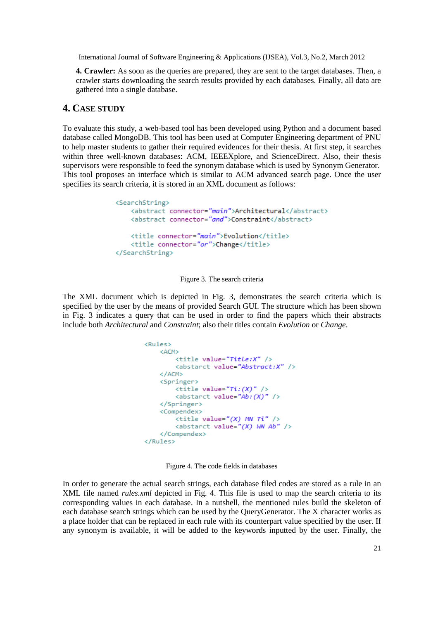**4. Crawler:** As soon as the queries are prepared, they are sent to the target databases. Then, a crawler starts downloading the search results provided by each databases. Finally, all data are gathered into a single database.

#### **4. CASE STUDY**

To evaluate this study, a web-based tool has been developed using Python and a document based database called MongoDB. This tool has been used at Computer Engineering department of PNU to help master students to gather their required evidences for their thesis. At first step, it searches within three well-known databases: ACM, IEEEXplore, and ScienceDirect. Also, their thesis supervisors were responsible to feed the synonym database which is used by Synonym Generator. This tool proposes an interface which is similar to ACM advanced search page. Once the user specifies its search criteria, it is stored in an XML document as follows:

```
<SearchString>
    <abstract connector="main">Architectural</abstract>
    <abstract connector="and">Constraint</abstract>
    <title connector="main">Evolution</title>
    <title connector="or">Change</title>
</SearchString>
```
Figure 3. The search criteria

The XML document which is depicted in Fig. 3, demonstrates the search criteria which is specified by the user by the means of provided Search GUI. The structure which has been shown in Fig. 3 indicates a query that can be used in order to find the papers which their abstracts include both *Architectural* and *Constraint*; also their titles contain *Evolution* or *Change*.

```
<Rules><ACM>
           <title value="Title:X" />
            <abstarct value="Abstract:X" />
     \langle/ACM\rangle<Springer>
           \left\langle \text{title value="Ti:}(X) \right\rangle />
           <abstarct value="Ab: (X)" />
      </Springer>
      <Compendex>
           \left\langle \text{title value} \right\rangle = \left\langle \text{T} \right\rangle MN Ti" />
           <abstarct value="(X) WN Ab" />
     \langle/Compendex>
</Rules>
```
Figure 4. The code fields in databases

In order to generate the actual search strings, each database filed codes are stored as a rule in an XML file named *rules.xml* depicted in Fig. 4. This file is used to map the search criteria to its corresponding values in each database. In a nutshell, the mentioned rules build the skeleton of each database search strings which can be used by the QueryGenerator. The X character works as a place holder that can be replaced in each rule with its counterpart value specified by the user. If any synonym is available, it will be added to the keywords inputted by the user. Finally, the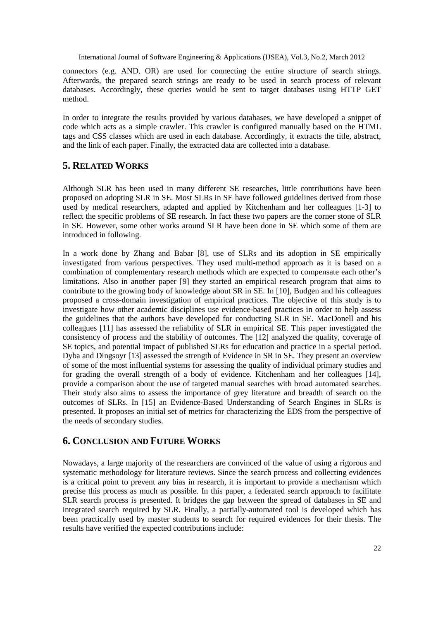connectors (e.g. AND, OR) are used for connecting the entire structure of search strings. Afterwards, the prepared search strings are ready to be used in search process of relevant databases. Accordingly, these queries would be sent to target databases using HTTP GET method.

In order to integrate the results provided by various databases, we have developed a snippet of code which acts as a simple crawler. This crawler is configured manually based on the HTML tags and CSS classes which are used in each database. Accordingly, it extracts the title, abstract, and the link of each paper. Finally, the extracted data are collected into a database.

## **5. RELATED WORKS**

Although SLR has been used in many different SE researches, little contributions have been proposed on adopting SLR in SE. Most SLRs in SE have followed guidelines derived from those used by medical researchers, adapted and applied by Kitchenham and her colleagues [1-3] to reflect the specific problems of SE research. In fact these two papers are the corner stone of SLR in SE. However, some other works around SLR have been done in SE which some of them are introduced in following.

In a work done by Zhang and Babar [8], use of SLRs and its adoption in SE empirically investigated from various perspectives. They used multi-method approach as it is based on a combination of complementary research methods which are expected to compensate each other's limitations. Also in another paper [9] they started an empirical research program that aims to contribute to the growing body of knowledge about SR in SE. In [10], Budgen and his colleagues proposed a cross-domain investigation of empirical practices. The objective of this study is to investigate how other academic disciplines use evidence-based practices in order to help assess the guidelines that the authors have developed for conducting SLR in SE. MacDonell and his colleagues [11] has assessed the reliability of SLR in empirical SE. This paper investigated the consistency of process and the stability of outcomes. The [12] analyzed the quality, coverage of SE topics, and potential impact of published SLRs for education and practice in a special period. Dyba and Dingsoyr [13] assessed the strength of Evidence in SR in SE. They present an overview of some of the most influential systems for assessing the quality of individual primary studies and for grading the overall strength of a body of evidence. Kitchenham and her colleagues [14], provide a comparison about the use of targeted manual searches with broad automated searches. Their study also aims to assess the importance of grey literature and breadth of search on the outcomes of SLRs. In [15] an Evidence-Based Understanding of Search Engines in SLRs is presented. It proposes an initial set of metrics for characterizing the EDS from the perspective of the needs of secondary studies.

## **6. CONCLUSION AND FUTURE WORKS**

Nowadays, a large majority of the researchers are convinced of the value of using a rigorous and systematic methodology for literature reviews. Since the search process and collecting evidences is a critical point to prevent any bias in research, it is important to provide a mechanism which precise this process as much as possible. In this paper, a federated search approach to facilitate SLR search process is presented. It bridges the gap between the spread of databases in SE and integrated search required by SLR. Finally, a partially-automated tool is developed which has been practically used by master students to search for required evidences for their thesis. The results have verified the expected contributions include: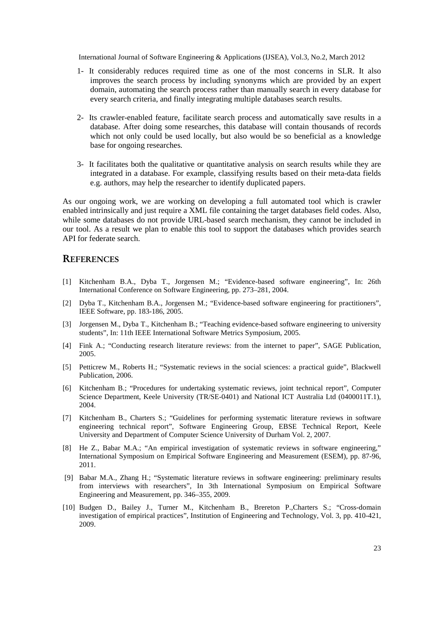- 1- It considerably reduces required time as one of the most concerns in SLR. It also improves the search process by including synonyms which are provided by an expert domain, automating the search process rather than manually search in every database for every search criteria, and finally integrating multiple databases search results.
- 2- Its crawler-enabled feature, facilitate search process and automatically save results in a database. After doing some researches, this database will contain thousands of records which not only could be used locally, but also would be so beneficial as a knowledge base for ongoing researches.
- 3- It facilitates both the qualitative or quantitative analysis on search results while they are integrated in a database. For example, classifying results based on their meta-data fields e.g. authors, may help the researcher to identify duplicated papers.

As our ongoing work, we are working on developing a full automated tool which is crawler enabled intrinsically and just require a XML file containing the target databases field codes. Also, while some databases do not provide URL-based search mechanism, they cannot be included in our tool. As a result we plan to enable this tool to support the databases which provides search API for federate search.

#### **REFERENCES**

- [1] Kitchenham B.A., Dyba T., Jorgensen M.; "Evidence-based software engineering", In: 26th International Conference on Software Engineering, pp. 273–281, 2004.
- [2] Dyba T., Kitchenham B.A., Jorgensen M.; "Evidence-based software engineering for practitioners", IEEE Software, pp. 183-186, 2005.
- [3] Jorgensen M., Dyba T., Kitchenham B.; "Teaching evidence-based software engineering to university students", In: 11th IEEE International Software Metrics Symposium, 2005.
- [4] Fink A.; "Conducting research literature reviews: from the internet to paper", SAGE Publication, 2005.
- [5] Petticrew M., Roberts H.; "Systematic reviews in the social sciences: a practical guide", Blackwell Publication, 2006.
- [6] Kitchenham B.; "Procedures for undertaking systematic reviews, joint technical report", Computer Science Department, Keele University (TR/SE-0401) and National ICT Australia Ltd (0400011T.1), 2004.
- [7] Kitchenham B., Charters S.; "Guidelines for performing systematic literature reviews in software engineering technical report", Software Engineering Group, EBSE Technical Report, Keele University and Department of Computer Science University of Durham Vol. 2, 2007.
- [8] He Z., Babar M.A.; "An empirical investigation of systematic reviews in software engineering," International Symposium on Empirical Software Engineering and Measurement (ESEM), pp. 87-96, 2011.
- [9] Babar M.A., Zhang H.; "Systematic literature reviews in software engineering: preliminary results from interviews with researchers", In 3th International Symposium on Empirical Software Engineering and Measurement, pp. 346–355, 2009.
- [10] Budgen D., Bailey J., Turner M., Kitchenham B., Brereton P.,Charters S.; "Cross-domain investigation of empirical practices", Institution of Engineering and Technology, Vol. 3, pp. 410-421, 2009.